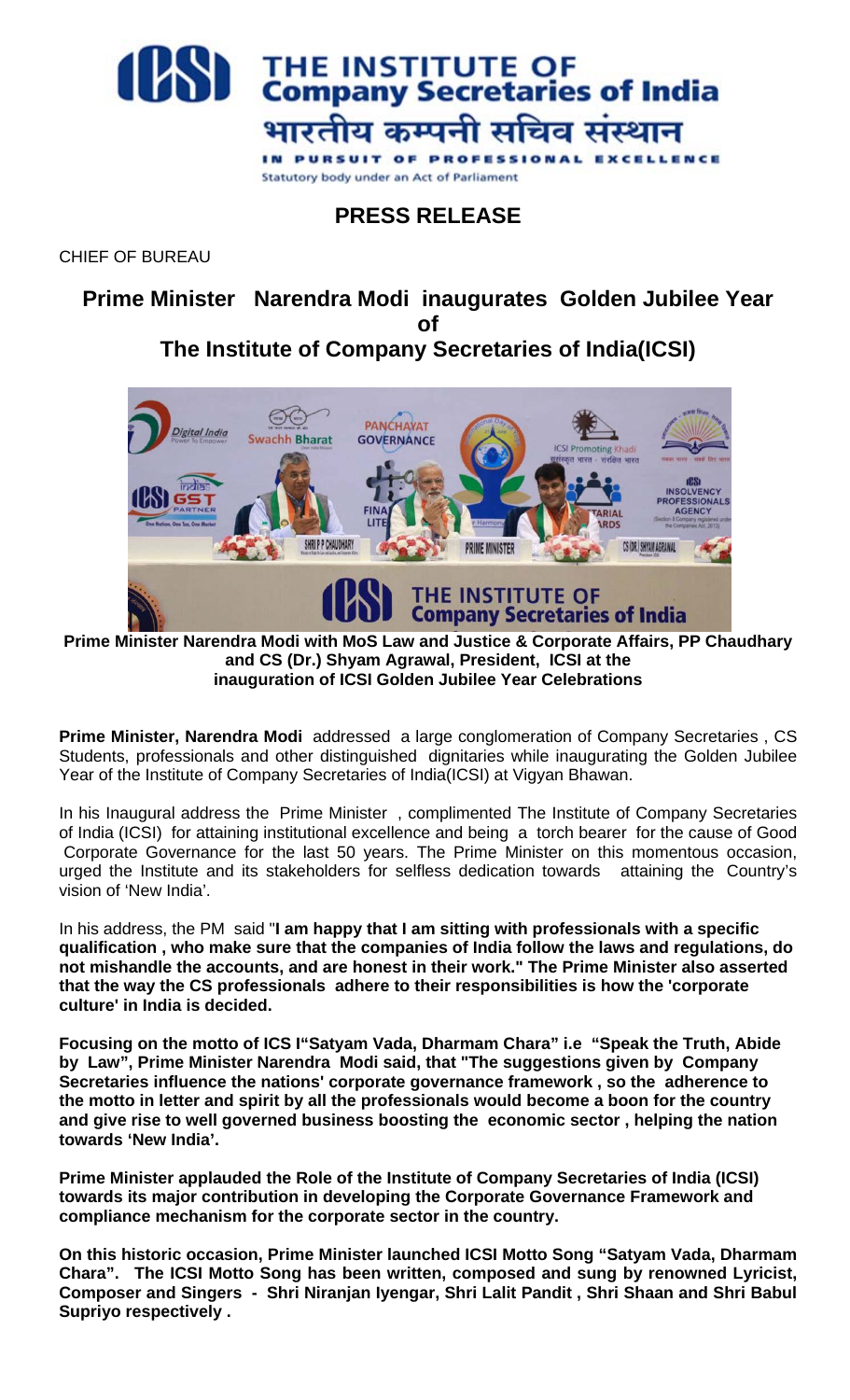

**PRESS RELEASE**

CHIEF OF BUREAU

**Prime Minister Narendra Modi inaugurates Golden Jubilee Year of**

**The Institute of Company Secretaries of India(ICSI)**



**Prime Minister Narendra Modi with MoS Law and Justice & Corporate Affairs, PP Chaudhary and CS (Dr.) Shyam Agrawal, President, ICSI at the inauguration of ICSI Golden Jubilee Year Celebrations** 

**Prime Minister, Narendra Modi** addressed a large conglomeration of Company Secretaries , CS Students, professionals and other distinguished dignitaries while inaugurating the Golden Jubilee Year of the Institute of Company Secretaries of India(ICSI) at Vigyan Bhawan.

In his Inaugural address the Prime Minister , complimented The Institute of Company Secretaries of India (ICSI) for attaining institutional excellence and being a torch bearer for the cause of Good Corporate Governance for the last 50 years. The Prime Minister on this momentous occasion, urged the Institute and its stakeholders for selfless dedication towards attaining the Country's vision of 'New India'.

In his address, the PM said "**I am happy that I am sitting with professionals with a specific qualification , who make sure that the companies of India follow the laws and regulations, do not mishandle the accounts, and are honest in their work." The Prime Minister also asserted that the way the CS professionals adhere to their responsibilities is how the 'corporate culture' in India is decided.**

**Focusing on the motto of ICS I"Satyam Vada, Dharmam Chara" i.e "Speak the Truth, Abide by Law", Prime Minister Narendra Modi said, that "The suggestions given by Company Secretaries influence the nations' corporate governance framework , so the adherence to the motto in letter and spirit by all the professionals would become a boon for the country and give rise to well governed business boosting the economic sector , helping the nation towards 'New India'.** 

**Prime Minister applauded the Role of the Institute of Company Secretaries of India (ICSI) towards its major contribution in developing the Corporate Governance Framework and compliance mechanism for the corporate sector in the country.**

**On this historic occasion, Prime Minister launched ICSI Motto Song "Satyam Vada, Dharmam Chara". The ICSI Motto Song has been written, composed and sung by renowned Lyricist, Composer and Singers - Shri Niranjan Iyengar, Shri Lalit Pandit , Shri Shaan and Shri Babul Supriyo respectively .**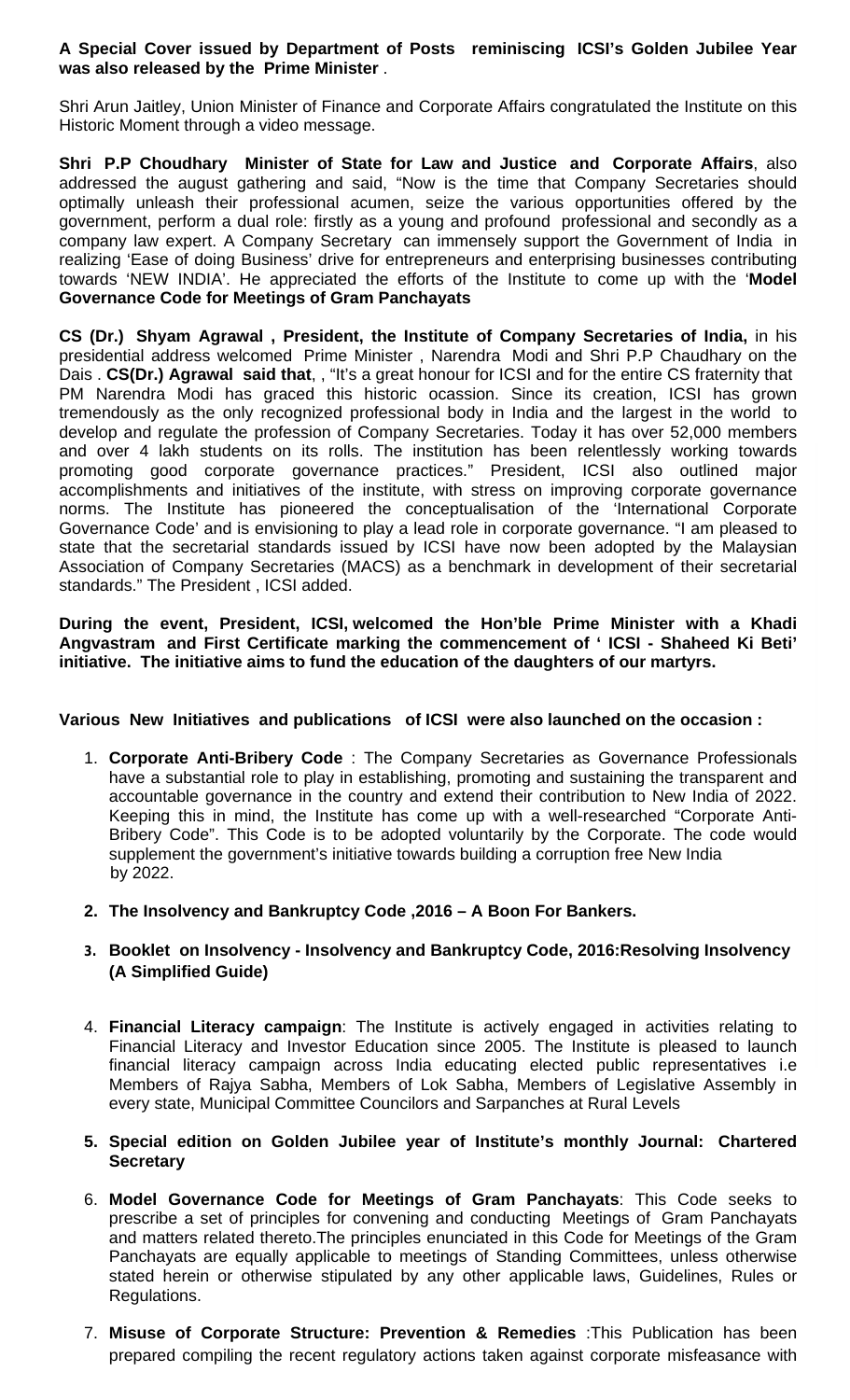## **A Special Cover issued by Department of Posts reminiscing ICSI's Golden Jubilee Year was also released by the Prime Minister** .

Shri Arun Jaitley, Union Minister of Finance and Corporate Affairs congratulated the Institute on this Historic Moment through a video message.

**Shri P.P Choudhary Minister of State for Law and Justice and Corporate Affairs**, also addressed the august gathering and said, "Now is the time that Company Secretaries should optimally unleash their professional acumen, seize the various opportunities offered by the government, perform a dual role: firstly as a young and profound professional and secondly as a company law expert. A Company Secretary can immensely support the Government of India in realizing 'Ease of doing Business' drive for entrepreneurs and enterprising businesses contributing towards 'NEW INDIA'. He appreciated the efforts of the Institute to come up with the '**Model Governance Code for Meetings of Gram Panchayats**

**CS (Dr.) Shyam Agrawal , President, the Institute of Company Secretaries of India,** in his presidential address welcomed Prime Minister , Narendra Modi and Shri P.P Chaudhary on the Dais . **CS(Dr.) Agrawal said that**, , "It's a great honour for ICSI and for the entire CS fraternity that PM Narendra Modi has graced this historic ocassion. Since its creation, ICSI has grown tremendously as the only recognized professional body in India and the largest in the world to develop and regulate the profession of Company Secretaries. Today it has over 52,000 members and over 4 lakh students on its rolls. The institution has been relentlessly working towards promoting good corporate governance practices." President, ICSI also outlined major accomplishments and initiatives of the institute, with stress on improving corporate governance norms. The Institute has pioneered the conceptualisation of the 'International Corporate Governance Code' and is envisioning to play a lead role in corporate governance. "I am pleased to state that the secretarial standards issued by ICSI have now been adopted by the Malaysian Association of Company Secretaries (MACS) as a benchmark in development of their secretarial standards." The President , ICSI added.

**During the event, President, ICSI, welcomed the Hon'ble Prime Minister with a Khadi Angvastram and First Certificate marking the commencement of ' ICSI - Shaheed Ki Beti' initiative. The initiative aims to fund the education of the daughters of our martyrs.** 

## **Various New Initiatives and publications of ICSI were also launched on the occasion :**

- 1. **Corporate Anti-Bribery Code** : The Company Secretaries as Governance Professionals have a substantial role to play in establishing, promoting and sustaining the transparent and accountable governance in the country and extend their contribution to New India of 2022. Keeping this in mind, the Institute has come up with a well-researched "Corporate Anti-Bribery Code". This Code is to be adopted voluntarily by the Corporate. The code would supplement the government's initiative towards building a corruption free New India by 2022.
- **2. The Insolvency and Bankruptcy Code ,2016 – A Boon For Bankers.**
- **3. Booklet on Insolvency - Insolvency and Bankruptcy Code, 2016:Resolving Insolvency (A Simplified Guide)**
- 4. **Financial Literacy campaign**: The Institute is actively engaged in activities relating to Financial Literacy and Investor Education since 2005. The Institute is pleased to launch financial literacy campaign across India educating elected public representatives i.e Members of Rajya Sabha, Members of Lok Sabha, Members of Legislative Assembly in every state, Municipal Committee Councilors and Sarpanches at Rural Levels
- **5. Special edition on Golden Jubilee year of Institute's monthly Journal: Chartered Secretary**
- 6. **Model Governance Code for Meetings of Gram Panchayats**: This Code seeks to prescribe a set of principles for convening and conducting Meetings of Gram Panchayats and matters related thereto.The principles enunciated in this Code for Meetings of the Gram Panchayats are equally applicable to meetings of Standing Committees, unless otherwise stated herein or otherwise stipulated by any other applicable laws, Guidelines, Rules or Regulations.
- 7. **Misuse of Corporate Structure: Prevention & Remedies** :This Publication has been prepared compiling the recent regulatory actions taken against corporate misfeasance with